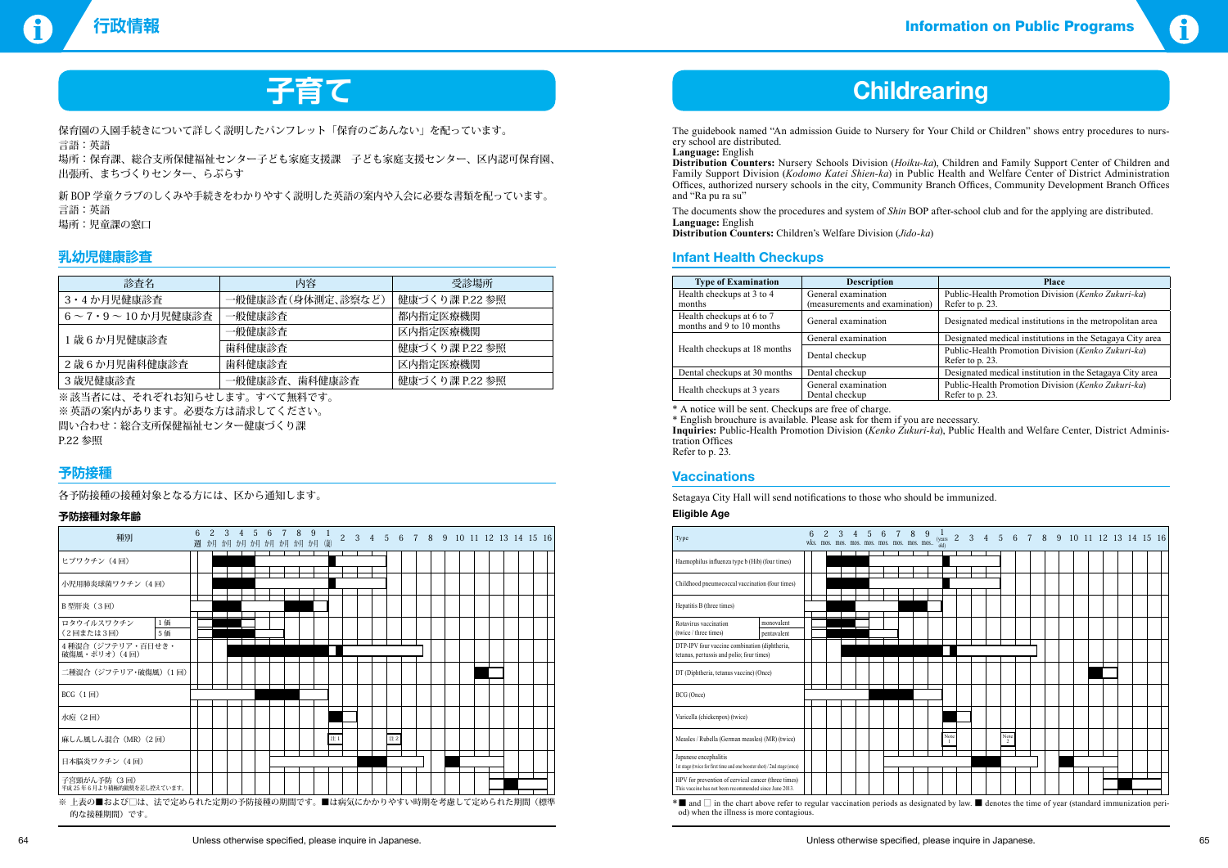

# **子育て Childrearing**

保育園の入園手続きについて詳しく説明したパンフレット「保育のごあんない」を配っています。 言語:英語 場所:保育課、総合支所保健福祉センター子ども家庭支援課 子ども家庭支援センター、区内認可保育園、 出張所、まちづくりセンター、らぷらす

新 BOP 学童クラブのしくみや手続きをわかりやすく説明した英語の案内や入会に必要な書類を配っています。 言語:英語 場所:児童課の窓口

※ 該当者には、それぞれお知らせします。すべて無料です。 ※英語の案内があります。必要な方は請求してください。 問い合わせ:総合支所保健福祉センター健康づくり課 P.22 参照

### **乳幼児健康診査**

| 診査名                                                                                                                                                                   | 内容                | 受診場所           |
|-----------------------------------------------------------------------------------------------------------------------------------------------------------------------|-------------------|----------------|
| 3・4 か月児健康診査                                                                                                                                                           | 一般健康診査(身体測定、診察など) | 健康づくり課 P.22 参照 |
| $6 \sim 7 \cdot 9 \sim 10$ か月児健康診査                                                                                                                                    | 一般健康診査            | 都内指定医療機関       |
| 1歳6か月児健康診査                                                                                                                                                            | 一般健康診査            | 区内指定医療機関       |
|                                                                                                                                                                       | 歯科健康診査            | 健康づくり課 P.22 参照 |
| 2歳6か月児歯科健康診査                                                                                                                                                          | 歯科健康診査            | 区内指定医療機関       |
| 3 歳児健康診査                                                                                                                                                              | 一般健康診査、歯科健康診査     | 健康づくり課 P.22 参照 |
| $\mathbf{u}_i$ in the state of $\mathbf{u}_i$ . The state $\mathbf{u}_i$ is the state of $\mathbf{u}_i$ in the state of $\mathbf{u}_i$ is the state of $\mathbf{u}_i$ |                   |                |

### **予防接種**

各予防接種の接種対象となる方には、区から通知します。

### **予防接種対象年齢**

The guidebook named "An admission Guide to Nursery for Your Child or Children" shows entry procedures to nursery school are distributed.

**Language:** English

**Distribution Counters:** Nursery Schools Division (*Hoiku-ka*), Children and Family Support Center of Children and Family Support Division (*Kodomo Katei Shien-ka*) in Public Health and Welfare Center of District Administration Offices, authorized nursery schools in the city, Community Branch Offices, Community Development Branch Offices and "Ra pu ra su"

The documents show the procedures and system of *Shin* BOP after-school club and for the applying are distributed. **Language:** English

**Distribution Counters:** Children's Welfare Division (*Jido-ka*)

### **Infant Health Checkups**

| <b>Type of Examination</b>                             | <b>Description</b>                                    | <b>Place</b>                                                          |  |  |  |  |
|--------------------------------------------------------|-------------------------------------------------------|-----------------------------------------------------------------------|--|--|--|--|
| Health checkups at 3 to 4<br>months                    | General examination<br>(measurements and examination) | Public-Health Promotion Division (Kenko Zukuri-ka)<br>Refer to p. 23. |  |  |  |  |
| Health checkups at 6 to 7<br>months and 9 to 10 months | General examination                                   | Designated medical institutions in the metropolitan area              |  |  |  |  |
|                                                        | General examination                                   | Designated medical institutions in the Setagaya City area             |  |  |  |  |
| Health checkups at 18 months                           | Dental checkup                                        | Public-Health Promotion Division (Kenko Zukuri-ka)<br>Refer to p. 23. |  |  |  |  |
| Dental checkups at 30 months                           | Dental checkup                                        | Designated medical institution in the Setagaya City area              |  |  |  |  |
| Health checkups at 3 years                             | General examination<br>Dental checkup                 | Public-Health Promotion Division (Kenko Zukuri-ka)<br>Refer to p. 23. |  |  |  |  |

\* A notice will be sent. Checkups are free of charge.

\* English brouchure is available. Please ask for them if you are necessary. **Inquiries:** Public-Health Promotion Division (*Kenko Zukuri-ka*), Public Health and Welfare Center, District Administration Offices Refer to p. 23.

### **Vaccinations**

Setagaya City Hall will send notifications to those who should be immunized. **Eligible Age**

| 週 |  |  |  | $7^{\circ}$<br>か月 か月 か月 か月 か月 か月 か月 か月 (歳) | 9 | -1 | $\overline{2}$ | 3  | $4\quad 5$ | 6 |    |  |  |  |  | 7 8 9 10 11 12 13 14 15 16                                   |
|---|--|--|--|--------------------------------------------|---|----|----------------|----|------------|---|----|--|--|--|--|--------------------------------------------------------------|
|   |  |  |  |                                            |   |    |                |    |            |   |    |  |  |  |  |                                                              |
|   |  |  |  |                                            |   |    |                |    |            |   |    |  |  |  |  |                                                              |
|   |  |  |  |                                            |   |    |                |    |            |   |    |  |  |  |  |                                                              |
|   |  |  |  |                                            |   |    |                |    |            |   |    |  |  |  |  |                                                              |
|   |  |  |  |                                            |   |    |                |    |            |   |    |  |  |  |  |                                                              |
|   |  |  |  |                                            |   |    |                |    |            |   |    |  |  |  |  |                                                              |
|   |  |  |  |                                            |   |    |                |    |            |   |    |  |  |  |  |                                                              |
|   |  |  |  |                                            |   |    |                |    |            |   |    |  |  |  |  |                                                              |
|   |  |  |  |                                            |   |    |                |    |            |   |    |  |  |  |  |                                                              |
|   |  |  |  |                                            |   |    |                |    |            |   |    |  |  |  |  |                                                              |
|   |  |  |  |                                            |   |    |                |    |            |   |    |  |  |  |  |                                                              |
|   |  |  |  |                                            |   |    |                | 注1 |            |   | 注2 |  |  |  |  | ※ 上表の■および□は、法で定められた定期の予防接種の期間です。■は病気にかかりやすい時期を考慮して定められた期間(標準 |

| Type                                                                                                         |             | wks. | 6 | $2^{\circ}$ | $\mathcal{S}$ | $\overline{4}$<br>mos. mos. mos. mos. mos. mos. mos. 1 | 5 <sup>1</sup> | 6 | 7      | 8 |  |
|--------------------------------------------------------------------------------------------------------------|-------------|------|---|-------------|---------------|--------------------------------------------------------|----------------|---|--------|---|--|
| Haemophilus influenza type b (Hib) (four times)                                                              |             |      |   |             |               |                                                        |                |   |        |   |  |
| Childhood pneumococcal vaccination (four times)                                                              |             |      |   |             |               |                                                        |                |   |        |   |  |
| Hepatitis B (three times)                                                                                    |             |      |   |             |               |                                                        |                |   |        |   |  |
| Rotavirus vaccination                                                                                        | monovalent  |      |   |             |               |                                                        |                |   |        |   |  |
| (twice / three times)                                                                                        | pentavalent |      |   |             |               |                                                        |                |   |        |   |  |
| DTP-IPV four vaccine combination (diphtheria,<br>tetanus, pertussis and polio; four times)                   |             |      |   |             |               |                                                        |                |   |        |   |  |
| DT (Diphtheria, tetanus vaccine) (Once)                                                                      |             |      |   |             |               |                                                        |                |   |        |   |  |
| BCG (Once)                                                                                                   |             |      |   |             |               |                                                        |                |   |        |   |  |
| Varicella (chickenpox) (twice)                                                                               |             |      |   |             |               |                                                        |                |   |        |   |  |
| Measles / Rubella (German measles) (MR) (twice)                                                              |             |      |   |             |               |                                                        |                |   |        |   |  |
| Japanese encephalitis                                                                                        |             |      |   |             |               |                                                        |                |   |        |   |  |
| 1st stage (twice for first time and one booster shot) / 2nd stage (once)                                     |             |      |   |             |               |                                                        |                |   |        |   |  |
| HPV for prevention of cervical cancer (three times)<br>This vaccine has not been recommended since June 2013 |             |      |   |             |               |                                                        |                |   |        |   |  |
| $\sim$ $-$                                                                                                   |             |      |   |             |               | $\sim$                                                 |                |   | $\sim$ |   |  |

\*■ and □ in the chart above refer to regular vaccination periods as designated by law. ■ denotes the time of year (standard immunization period) when the illness is more contagious.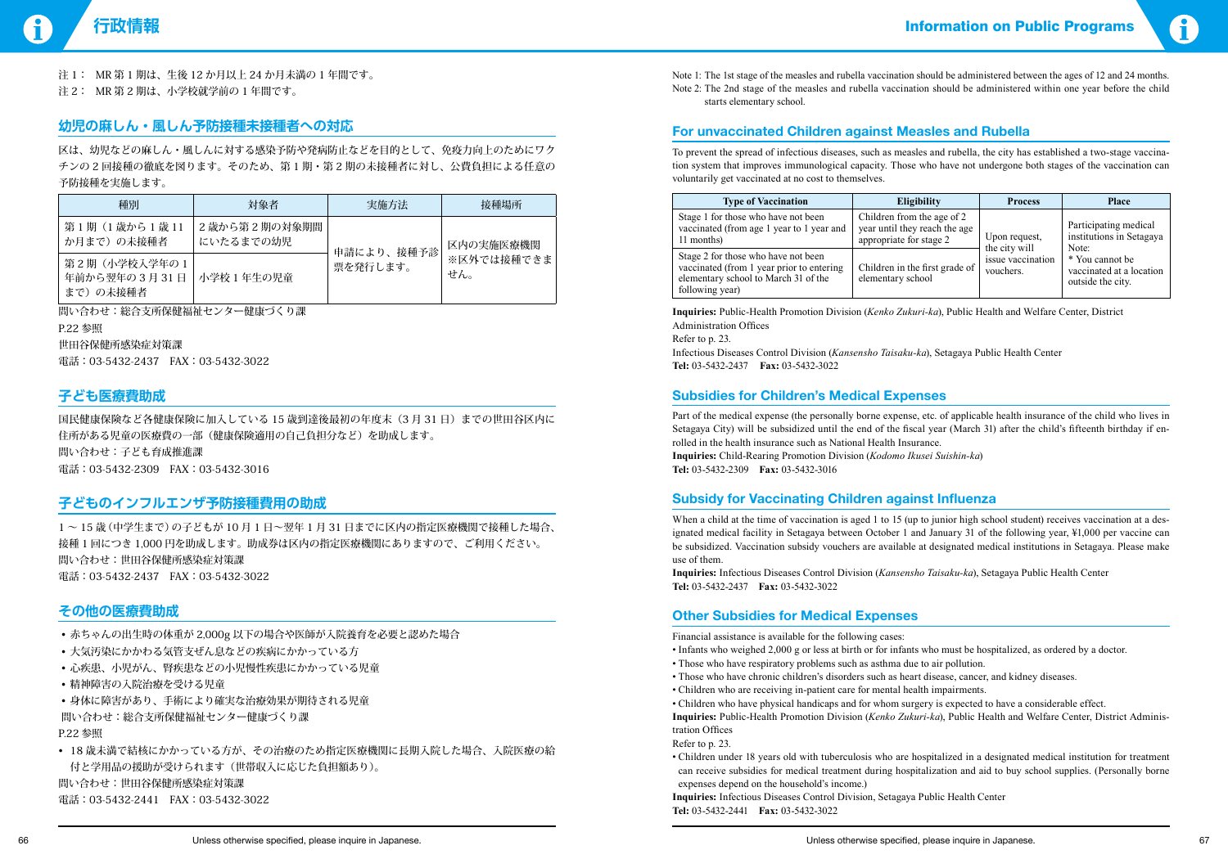

Note 1: The 1st stage of the measles and rubella vaccination should be administered between the ages of 12 and 24 months. Note 2: The 2nd stage of the measles and rubella vaccination should be administered within one year before the child starts elementary school.

### **For unvaccinated Children against Measles and Rubella**

To prevent the spread of infectious diseases, such as measles and rubella, the city has established a two-stage vaccination system that improves immunological capacity. Those who have not undergone both stages of the vaccination can voluntarily get vaccinated at no cost to themselves.

| <b>Type of Vaccination</b>                                                                                                                  | Eligibility                                                                            | <b>Process</b>                 | <b>Place</b>                                                     |
|---------------------------------------------------------------------------------------------------------------------------------------------|----------------------------------------------------------------------------------------|--------------------------------|------------------------------------------------------------------|
| Stage 1 for those who have not been<br>vaccinated (from age 1 year to 1 year and<br>11 months)                                              | Children from the age of 2<br>year until they reach the age<br>appropriate for stage 2 | Upon request,<br>the city will | Participating medical<br>institutions in Setagaya<br>Note:       |
| Stage 2 for those who have not been<br>vaccinated (from 1 year prior to entering<br>elementary school to March 31 of the<br>following year) | Children in the first grade of<br>elementary school                                    | issue vaccination<br>vouchers. | * You cannot be<br>vaccinated at a location<br>outside the city. |

**Inquiries:** Public-Health Promotion Division (*Kenko Zukuri-ka*), Public Health and Welfare Center, District Administration Offices

Refer to p. 23.

Infectious Diseases Control Division (*Kansensho Taisaku-ka*), Setagaya Public Health Center **Tel:** 03-5432-2437 **Fax:** 03-5432-3022

### **Subsidies for Children's Medical Expenses**

Part of the medical expense (the personally borne expense, etc. of applicable health insurance of the child who lives in Setagaya City) will be subsidized until the end of the fiscal year (March 31) after the child's fifteenth birthday if enrolled in the health insurance such as National Health Insurance. **Inquiries:** Child-Rearing Promotion Division (*Kodomo Ikusei Suishin-ka*) **Tel:** 03-5432-2309 **Fax:** 03-5432-3016

### **Subsidy for Vaccinating Children against Influenza**

When a child at the time of vaccination is aged 1 to 15 (up to junior high school student) receives vaccination at a designated medical facility in Setagaya between October 1 and January 31 of the following year, ¥1,000 per vaccine can be subsidized. Vaccination subsidy vouchers are available at designated medical institutions in Setagaya. Please make use of them

国民健康保険など各健康保険に加入している 15 歳到達後最初の年度末(3月31日)までの世田谷区内に 住所がある児童の医療費の一部(健康保険適用の自己負担分など)を助成します。 問い合わせ:子ども育成推進課 電話:03-5432-2309 FAX:03-5432-3016

- 赤ちゃんの出生時の体重が 2,000g 以下の場合や医師が入院養育を必要と認めた場合
- 大気汚染にかかわる気管支ぜん息などの疾病にかかっている方
- • 心疾患、小児がん、腎疾患などの小児慢性疾患にかかっている児童
- • 精神障害の入院治療を受ける児童

• 18 歳未満で結核にかかっている方が、その治療のため指定医療機関に長期入院した場合、入院医療の給 付と学用品の援助が受けられます(世帯収入に応じた負担額あり)。 問い合わせ:世田谷保健所感染症対策課 電話:03-5432-2441 FAX:03-5432-3022

**Inquiries:** Infectious Diseases Control Division (*Kansensho Taisaku-ka*), Setagaya Public Health Center **Tel:** 03-5432-2437 **Fax:** 03-5432-3022

### **Other Subsidies for Medical Expenses**

Financial assistance is available for the following cases:

- Infants who weighed 2,000 g or less at birth or for infants who must be hospitalized, as ordered by a doctor.
- Those who have respiratory problems such as asthma due to air pollution.
- Those who have chronic children's disorders such as heart disease, cancer, and kidney diseases.
- Children who are receiving in-patient care for mental health impairments.

• Children who have physical handicaps and for whom surgery is expected to have a considerable effect. **Inquiries:** Public-Health Promotion Division (*Kenko Zukuri-ka*), Public Health and Welfare Center, District Administration Offices

Refer to p. 23.

• Children under 18 years old with tuberculosis who are hospitalized in a designated medical institution for treatment

can receive subsidies for medical treatment during hospitalization and aid to buy school supplies. (Personally borne expenses depend on the household's income.)

**Inquiries:** Infectious Diseases Control Division, Setagaya Public Health Center **Tel:** 03-5432-2441 **Fax:** 03-5432-3022

注 1: MR 第 1 期は、生後 12 か月以上 24 か月未満の 1 年間です。

注 2: MR 第 2 期は、小学校就学前の 1 年間です。

### **幼児の麻しん・風しん予防接種未接種者への対応**

区は、幼児などの麻しん・風しんに対する感染予防や発病防止などを目的として、免疫力向上のためにワク チンの 2 回接種の徹底を図ります。そのため、第 1 期・第 2 期の未接種者に対し、公費負担による任意の 予防接種を実施します。

| 種別                                                 | 対象者                        | 実施方法       | 接種場所              |
|----------------------------------------------------|----------------------------|------------|-------------------|
| 第1期 (1歳から1歳11<br>か月まで)の未接種者                        | 2 歳から第2期の対象期間<br>にいたるまでの幼児 | 申請により、接種予診 | 区内の実施医療機関         |
| 第2期(小学校入学年の1<br>年前から翌年の3月31日 小学校1年生の児童<br>まで)の未接種者 |                            | 票を発行します。   | ※区外では接種できま<br>せん。 |

問い合わせ:総合支所保健福祉センター健康づくり課 P.22 参照

世田谷保健所感染症対策課

電話:03-5432-2437 FAX:03-5432-3022

### **子ども医療費助成**

### **子どものインフルエンザ予防接種費用の助成**

1 ~ 15 歳(中学生まで)の子どもが 10 月 1 日~翌年 1 月 31 日までに区内の指定医療機関で接種した場合、 接種 1 回につき 1,000 円を助成します。助成券は区内の指定医療機関にありますので、ご利用ください。 問い合わせ:世田谷保健所感染症対策課 電話:03-5432-2437 FAX:03-5432-3022

### **その他の医療費助成**

• 身体に障害があり、手術により確実な治療効果が期待される児童 問い合わせ:総合支所保健福祉センター健康づくり課 P.22 参照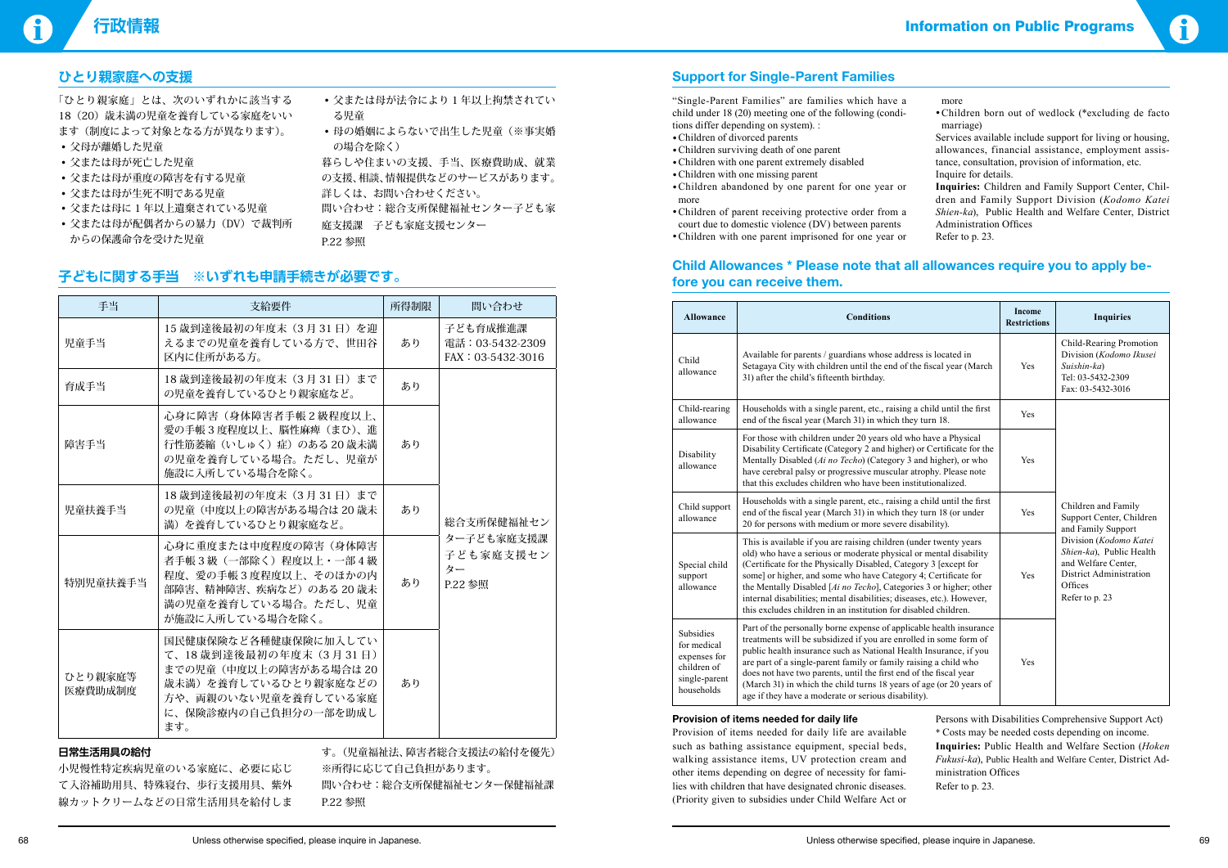

### **Support for Single-Parent Families**

"Single-Parent Families" are families which have a child under 18 (20) meeting one of the following (conditions differ depending on system). :

- •Children of divorced parents
- •Children surviving death of one parent
- •Children with one parent extremely disabled
- •Children with one missing parent
- •Children abandoned by one parent for one year or more
- •Children of parent receiving protective order from a court due to domestic violence (DV) between parents
- •Children with one parent imprisoned for one year or

#### more

- •Children born out of wedlock (\*excluding de facto marriage)
- Services available include support for living or housing, allowances, financial assistance, employment assistance, consultation, provision of information, etc. Inquire for details.
- **Inquiries:** Children and Family Support Center, Children and Family Support Division (*Kodomo Katei Shien-ka*), Public Health and Welfare Center, District Administration Offices
- Refer to p. 23.

### **Child Allowances \* Please note that all allowances require you to apply before you can receive them.**

- 父または母が法令により1年以上拘禁されてい る児童
- 母の婚姻によらないで出生した児童(※事実婚 の場合を除く)

| <b>Allowance</b>                                                                       | <b>Conditions</b>                                                                                                                                                                                                                                                                                                                                                                                                                                                                              | <b>Income</b><br><b>Restrictions</b> | <b>Inquiries</b>                                                                                                                  |
|----------------------------------------------------------------------------------------|------------------------------------------------------------------------------------------------------------------------------------------------------------------------------------------------------------------------------------------------------------------------------------------------------------------------------------------------------------------------------------------------------------------------------------------------------------------------------------------------|--------------------------------------|-----------------------------------------------------------------------------------------------------------------------------------|
| Child<br>allowance                                                                     | Available for parents / guardians whose address is located in<br>Setagaya City with children until the end of the fiscal year (March<br>31) after the child's fifteenth birthday.                                                                                                                                                                                                                                                                                                              | Yes                                  | Child-Rearing Promotion<br>Division (Kodomo Ikusei<br>Suishin-ka)<br>Tel: 03-5432-2309<br>Fax: 03-5432-3016                       |
| Child-rearing<br>allowance                                                             | Households with a single parent, etc., raising a child until the first<br>end of the fiscal year (March 31) in which they turn 18.                                                                                                                                                                                                                                                                                                                                                             | Yes                                  |                                                                                                                                   |
| Disability<br>allowance                                                                | For those with children under 20 years old who have a Physical<br>Disability Certificate (Category 2 and higher) or Certificate for the<br>Mentally Disabled (Ai no Techo) (Category 3 and higher), or who<br>have cerebral palsy or progressive muscular atrophy. Please note<br>that this excludes children who have been institutionalized.                                                                                                                                                 | Yes                                  |                                                                                                                                   |
| Child support<br>allowance                                                             | Households with a single parent, etc., raising a child until the first<br>end of the fiscal year (March 31) in which they turn 18 (or under<br>20 for persons with medium or more severe disability).                                                                                                                                                                                                                                                                                          | Yes                                  | Children and Family<br>Support Center, Children<br>and Family Support                                                             |
| Special child<br>support<br>allowance                                                  | This is available if you are raising children (under twenty years<br>old) who have a serious or moderate physical or mental disability<br>(Certificate for the Physically Disabled, Category 3 [except for<br>some] or higher, and some who have Category 4; Certificate for<br>the Mentally Disabled [Ai no Techo], Categories 3 or higher; other<br>internal disabilities; mental disabilities; diseases, etc.). However,<br>this excludes children in an institution for disabled children. |                                      | Division (Kodomo Katei<br>Shien-ka), Public Health<br>and Welfare Center,<br>District Administration<br>Offices<br>Refer to p. 23 |
| Subsidies<br>for medical<br>expenses for<br>children of<br>single-parent<br>households | Part of the personally borne expense of applicable health insurance<br>treatments will be subsidized if you are enrolled in some form of<br>public health insurance such as National Health Insurance, if you<br>are part of a single-parent family or family raising a child who<br>does not have two parents, until the first end of the fiscal year<br>(March 31) in which the child turns 18 years of age (or 20 years of<br>age if they have a moderate or serious disability).           | Yes                                  |                                                                                                                                   |

#### **Provision of items needed for daily life**

Provision of items needed for daily life are available such as bathing assistance equipment, special beds, walking assistance items, UV protection cream and other items depending on degree of necessity for families with children that have designated chronic diseases. (Priority given to subsidies under Child Welfare Act or

Persons with Disabilities Comprehensive Support Act) \* Costs may be needed costs depending on income. **Inquiries:** Public Health and Welfare Section (*Hoken Fukusi-ka*), Public Health and Welfare Center, District Administration Offices

Refer to p. 23.

## **ひとり親家庭への支援**

「ひとり親家庭」とは、次のいずれかに該当する 18 (20) 歳未満の児童を養育している家庭をいい ます(制度によって対象となる方が異なります)。

- • 父母が離婚した児童
- • 父または母が死亡した児童
- • 父または母が重度の障害を有する児童
- • 父または母が生死不明である児童
- • 父または母に 1 年以上遺棄されている児童
- 父または母が配偶者からの暴力(DV)で裁判所 からの保護命令を受けた児童

暮らしや住まいの支援、手当、医療費助成、就業 の支援、相談、情報提供などのサービスがあります。 詳しくは、お問い合わせください。

問い合わせ:総合支所保健福祉センター子ども家 庭支援課 子ども家庭支援センター

P.22 参照

### **子どもに関する手当 ※いずれも申請手続きが必要です。**

| 手当                 | 支給要件                                                                                                                                                    | 所得制限 | 間い合わせ                                             |  |  |
|--------------------|---------------------------------------------------------------------------------------------------------------------------------------------------------|------|---------------------------------------------------|--|--|
| 児童手当               | 15 歳到達後最初の年度末 (3月31日) を迎<br>えるまでの児童を養育している方で、世田谷<br>区内に住所がある方。                                                                                          | あり   | 子ども育成推進課<br>電話: 03-5432-2309<br>FAX: 03-5432-3016 |  |  |
| 育成手当               | 18歳到達後最初の年度末 (3月31日) まで<br>の児童を養育しているひとり親家庭など。                                                                                                          | あり   |                                                   |  |  |
| 障害手当               | 心身に障害(身体障害者手帳2級程度以上、<br>愛の手帳3度程度以上、脳性麻痺 (まひ)、進<br>行性筋萎縮(いしゅく)症)のある20歳未満<br>の児童を養育している場合。ただし、児童が<br>施設に入所している場合を除く。                                      | あり   |                                                   |  |  |
| 児童扶養手当             | 18歳到達後最初の年度末 (3月31日) まで<br>の児童 (中度以上の障害がある場合は20歳未<br>満)を養育しているひとり親家庭など。                                                                                 | あり   | 総合支所保健福祉セン                                        |  |  |
| 特別児童扶養手当           | 心身に重度または中度程度の障害(身体障害<br>者手帳3級 (一部除く) 程度以上・一部4級<br>程度、愛の手帳3度程度以上、そのほかの内<br>部障害、精神障害、疾病など)のある 20 歳未<br>満の児童を養育している場合。ただし、児童<br>が施設に入所している場合を除く。           | あり   | ター子ども家庭支援課<br>子ども家庭支援セン<br>ター<br>P.22 参照          |  |  |
| ひとり親家庭等<br>医療費助成制度 | 国民健康保険など各種健康保険に加入してい<br>て、18歳到達後最初の年度末 (3月31日)<br>までの児童 (中度以上の障害がある場合は20<br>歳未満)を養育しているひとり親家庭などの<br>方や、両親のいない児童を養育している家庭<br>に、保険診療内の自己負担分の一部を助成し<br>ます。 | あり   |                                                   |  |  |
|                    | エーブ カラン エーエム                                                                                                                                            |      |                                                   |  |  |

#### **日常生活用具の給付**

小児慢性特定疾病児童のいる家庭に、必要に応じ て入浴補助用具、特殊寝台、歩行支援用具、紫外 線カットクリームなどの日常生活用具を給付しま

す。(児童福祉法、障害者総合支援法の給付を優先) ※所得に応じて自己負担があります。 問い合わせ:総合支所保健福祉センター保健福祉課 P.22 参照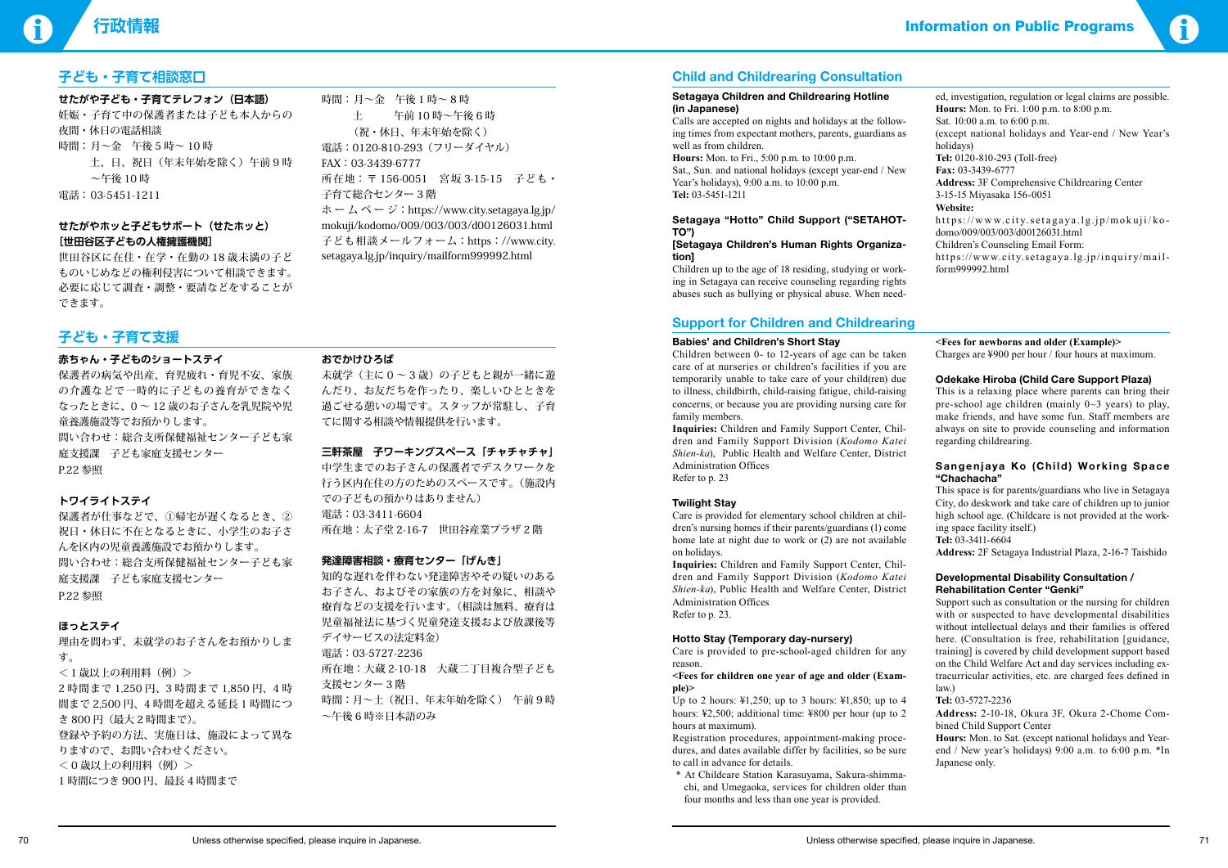### **行政情報** Information on Public Programs

### **子ども・子育て相談窓口**

**せたがや子ども・子育てテレフォン(日本語)** 妊娠・子育て中の保護者または子ども本人からの 夜間・休日の電話相談 時間:月~金 午後5時~10時 土、日、祝日(年末年始を除く)午前 9 時 ~午後 10 時 電話: 03-5451-1211

#### **せたがやホッと子どもサポート(せたホッと) [世田谷区子どもの人権擁護機関]**

時間: 月~金 午後1時~8時 土 午前 10 時~午後 6 時 (祝・休日、年末年始を除く) 電話:0120-810-293(フリーダイヤル) FAX:03-3439-6777 所在地:〒 156-0051 宮坂 3-15-15 子ども ・ 子育て総合センター 3 階  $\pi - \Delta \hat{\sim} - \hat{\nu}$ : https://www.city.setagaya.lg.jp/ mokuji/kodomo/009/003/003/d00126031.html 子ども相談メールフォーム:https://www.city. setagaya.lg.jp/inquiry/mailform999992.html

世田谷区に在住・在学・在勤の 18 歳未満の子ど ものいじめなどの権利侵害について相談できます。 必要に応じて調査・調整・要請などをすることが できます。

> 未就学(主に0~3歳)の子どもと親が一緒に遊 んだり、お友だちを作ったり、楽しいひとときを 過ごせる憩いの場です。スタッフが常駐し、子育 てに関する相談や情報提供を行います。

## **子ども・子育て支援**

### **赤ちゃん・子どものショートステイ**

保護者の病気や出産、育児疲れ・育児不安、家族 の介護などで一時的に子どもの養育ができなく なったときに、0 ~ 12 歳のお子さんを乳児院や児 童養護施設等でお預かりします。 問い合わせ:総合支所保健福祉センター子ども家 庭支援課 子ども家庭支援センター P.22 参照

### **トワイライトステイ**

保護者が仕事などで、①帰宅が遅くなるとき、② 祝日・休日に不在となるときに、小学生のお子さ んを区内の児童養護施設でお預かりします。 問い合わせ:総合支所保健福祉センター子ども家 庭支援課 子ども家庭支援センター P.22 参照

### **ほっとステイ**

理由を問わず、未就学のお子さんをお預かりしま す。 <1歳以上の利用料(例)> 2 時間まで 1,250 円、3 時間まで 1,850 円、4 時

間まで 2,500 円、4 時間を超える延長 1 時間につ き 800 円(最大 2 時間まで)。 登録や予約の方法、実施日は、施設によって異な りますので、お問い合わせください。 < 0 歳以上の利用料(例)> 1 時間につき 900 円、最長 4 時間まで

#### **おでかけひろば**

#### **三軒茶屋 子ワーキングスペース「チャチャチャ」**

中学生までのお子さんの保護者でデスクワークを 行う区内在住の方のためのスペースです。(施設内 での子どもの預かりはありません) 電話:03-3411-6604 所在地:太子堂 2-16-7 世田谷産業プラザ 2 階

### **発達障害相談・療育センター「げんき」**

知的な遅れを伴わない発達障害やその疑いのある お子さん、およびその家族の方を対象に、相談や 療育などの支援を行います。(相談は無料、療育は 児童福祉法に基づく児童発達支援および放課後等 デイサービスの法定料金) 電話:03-5727-2236 所在地:大蔵 2-10-18 大蔵二丁目複合型子ども 支援センター 3 階 時間:月~土(祝日、年末年始を除く) 午前 9 時 ~午後 6 時※日本語のみ

### **Child and Childrearing Consultation**

#### **Setagaya Children and Childrearing Hotline (in Japanese)**

Calls are accepted on nights and holidays at the following times from expectant mothers, parents, guardians as well as from children.

**Hours:** Mon. to Fri., 5:00 p.m. to 10:00 p.m.

Sat., Sun. and national holidays (except year-end / New Year's holidays), 9:00 a.m. to 10:00 p.m. **Tel:** 03-5451-1211

#### **Setagaya "Hotto" Child Support ("SETAHOT-TO")**

#### **[Setagaya Children's Human Rights Organization]**

Children up to the age of 18 residing, studying or working in Setagaya can receive counseling regarding rights abuses such as bullying or physical abuse. When need-

#### **Sangenjaya Ko (Child) Working Space "Chachacha"**



### **Support for Children and Childrearing**

#### **Babies' and Children's Short Stay**

Children between 0- to 12-years of age can be taken care of at nurseries or children's facilities if you are temporarily unable to take care of your child(ren) due to illness, childbirth, child-raising fatigue, child-raising concerns, or because you are providing nursing care for family members.

**Inquiries:** Children and Family Support Center, Children and Family Support Division (*Kodomo Katei Shien-ka*), Public Health and Welfare Center, District Administration Offices Refer to p. 23

## **Twilight Stay**

Care is provided for elementary school children at children's nursing homes if their parents/guardians (1) come home late at night due to work or (2) are not available on holidays.

**Inquiries:** Children and Family Support Center, Children and Family Support Division (*Kodomo Katei Shien-ka*), Public Health and Welfare Center, District Administration Offices Refer to p. 23.

#### **Hotto Stay (Temporary day-nursery)**

Care is provided to pre-school-aged children for any reason.

#### **<Fees for children one year of age and older (Example)>**

Up to 2 hours: ¥1,250; up to 3 hours: ¥1,850; up to 4 hours: ¥2,500; additional time: ¥800 per hour (up to 2 hours at maximum).

Registration procedures, appointment-making procedures, and dates available differ by facilities, so be sure to call in advance for details.

 \* At Childcare Station Karasuyama, Sakura-shimmachi, and Umegaoka, services for children older than four months and less than one year is provided.

**<Fees for newborns and older (Example)>** Charges are ¥900 per hour / four hours at maximum.

#### **Odekake Hiroba (Child Care Support Plaza)**

This is a relaxing place where parents can bring their pre-school age children (mainly  $0 \sim 3$  years) to play, make friends, and have some fun. Staff members are always on site to provide counseling and information regarding childrearing.

This space is for parents/guardians who live in Setagaya City, do deskwork and take care of children up to junior high school age. (Childcare is not provided at the working space facility itself.)

**Tel:** 03-3411-6604

**Address:** 2F Setagaya Industrial Plaza, 2-16-7 Taishido

#### **Developmental Disability Consultation / Rehabilitation Center "Genki"**

Support such as consultation or the nursing for children with or suspected to have developmental disabilities without intellectual delays and their families is offered here. (Consultation is free, rehabilitation [guidance, training] is covered by child development support based on the Child Welfare Act and day services including extracurricular activities, etc. are charged fees defined in law.)

**Tel:** 03-5727-2236

**Address:** 2-10-18, Okura 3F, Okura 2-Chome Combined Child Support Center

**Hours:** Mon. to Sat. (except national holidays and Yearend / New year's holidays) 9:00 a.m. to 6:00 p.m. \*In Japanese only.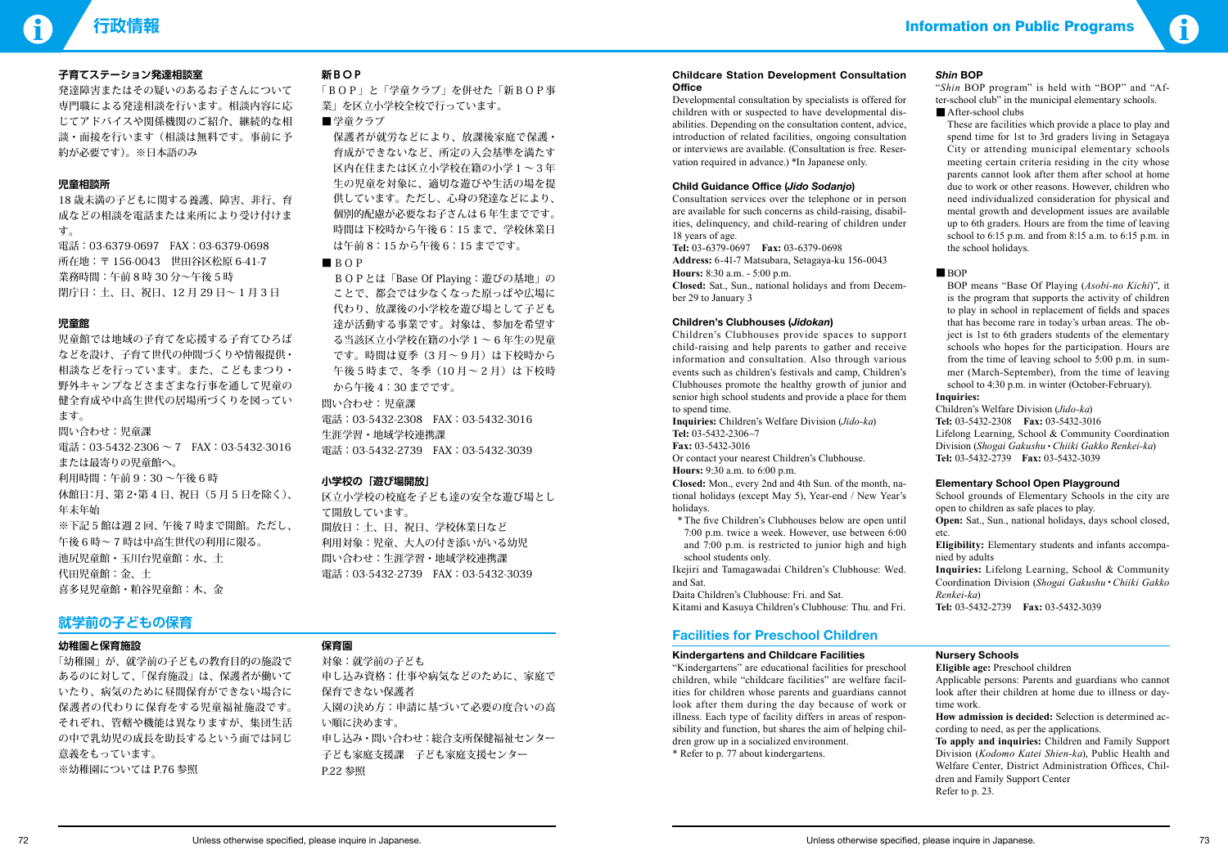

#### **子育てステーション発達相談室**

発達障害またはその疑いのあるお子さんについて 専門職による発達相談を行います。相談内容に応 じてアドバイスや関係機関のご紹介、継続的な相 談・面接を行います(相談は無料です。事前に予 約が必要です)。※日本語のみ

#### **児童相談所**

18 歳未満の子どもに関する養護、障害、非行、育 成などの相談を電話または来所により受け付けま す。

電話:03-6379-0697 FAX:03-6379-0698 所在地:〒 156-0043 世田谷区松原 6-41-7 業務時間:午前 8 時 30 分~午後 5 時 閉庁日:土、日、祝日、12 月 29 日~ 1 月 3 日

### **児童館**

児童館では地域の子育てを応援する子育てひろば などを設け、子育て世代の仲間づくりや情報提供・ 相談などを行っています。また、こどもまつり・ 野外キャンプなどさまざまな行事を通して児童の 健全育成や中高生世代の居場所づくりを図ってい ます。 問い合わせ:児童課 電話: 03-5432-2306  $\sim$  7 FAX: 03-5432-3016 または最寄りの児童館へ。 利用時間:午前 9:30 ~午後 6 時 休館日:月、第2・第4日、祝日(5月5日を除く)、 年末年始 ※下記5館は週2回、午後7時まで開館。ただし、 午後 6 時~ 7 時は中高生世代の利用に限る。 池尻児童館・玉川台児童館:水、土

代田児童館:金、土 喜多見児童館・粕谷児童館:木、金

#### **新BOP**

「BOP」と「学童クラブ」を併せた「新BOP事 業」を区立小学校全校で行っています。

■学童クラブ

「幼稚園」が、就学前の子どもの教育目的の施設で あるのに対して、「保育施設」 は、保護者が働いて いたり、病気のために昼間保育ができない場合に 保護者の代わりに保育をする児童福祉施設です。 それぞれ、管轄や機能は異なりますが、集団生活 の中で乳幼児の成長を助長するという面では同じ 意義をもっています。 ※幼稚園については P.76 参照

 保護者が就労などにより、放課後家庭で保護・ 育成ができないなど、所定の入会基準を満たす 区内在住または区立小学校在籍の小学1~3年 生の児童を対象に、適切な遊びや生活の場を提 供しています。ただし、心身の発達などにより、 個別的配慮が必要なお子さんは 6 年生までです。 時間は下校時から午後 6:15 まで、学校休業日 は午前 8:15 から午後 6:15 までです。

#### ■ BOP

 BOPとは「Base Of Playing:遊びの基地」の ことで、都会では少なくなった原っぱや広場に 代わり、放課後の小学校を遊び場として子ども 達が活動する事業です。対象は、参加を希望す る当該区立小学校在籍の小学 1 ~ 6 年生の児童 です。時間は夏季(3 月~ 9 月)は下校時から 午後5時まで、冬季(10月~2月)は下校時 から午後 4:30 までです。 問い合わせ: 児童課 電話:03-5432-2308 FAX:03-5432-3016 生涯学習・地域学校連携課

電話:03-5432-2739 FAX:03-5432-3039

#### **小学校の「遊び場開放」**

区立小学校の校庭を子ども達の安全な遊び場とし て開放しています。 開放日:土、日、祝日、学校休業日など 利用対象:児童、大人の付き添いがいる幼児 問い合わせ:生涯学習・地域学校連携課 電話:03-5432-2739 FAX:03-5432-3039

### **就学前の子どもの保育**

#### **幼稚園と保育施設**

#### **保育園**

対象:就学前の子ども 申し込み資格:仕事や病気などのために、家庭で 保育できない保護者 入園の決め方:申請に基づいて必要の度合いの高 い順に決めます。 申し込み・問い合わせ:総合支所保健福祉センター 子ども家庭支援課 子ども家庭支援センター P.22 参照

#### **Childcare Station Development Consultation Office**

Developmental consultation by specialists is offered for children with or suspected to have developmental disabilities. Depending on the consultation content, advice, introduction of related facilities, ongoing consultation or interviews are available. (Consultation is free. Reservation required in advance.) \*In Japanese only.

#### **Child Guidance Office (***Jido Sodanjo***)**

Consultation services over the telephone or in person are available for such concerns as child-raising, disabilities, delinquency, and child-rearing of children under 18 years of age.

**Tel:** 03-6379-0697 **Fax:** 03-6379-0698

**Address:** 6-41-7 Matsubara, Setagaya-ku 156-0043

**Hours:** 8:30 a.m. - 5:00 p.m.

**Closed:** Sat., Sun., national holidays and from December 29 to January 3

#### **Children's Clubhouses (***Jidokan***)**

Children's Clubhouses provide spaces to support child-raising and help parents to gather and receive information and consultation. Also through various events such as children's festivals and camp, Children's Clubhouses promote the healthy growth of junior and senior high school students and provide a place for them to spend time.

**Inquiries:** Children's Welfare Division (*Jido-ka*) **Tel:** 03-5432-2306~7 **Fax:** 03-5432-3016

Or contact your nearest Children's Clubhouse. **Hours:** 9:30 a.m. to 6:00 p.m.

**Closed:** Mon., every 2nd and 4th Sun. of the month, national holidays (except May 5), Year-end / New Year's holidays.

 \* The five Children's Clubhouses below are open until 7:00 p.m. twice a week. However, use between 6:00 and 7:00 p.m. is restricted to junior high and high school students only.

Ikejiri and Tamagawadai Children's Clubhouse: Wed. and Sat.

Daita Children's Clubhouse: Fri. and Sat. Kitami and Kasuya Children's Clubhouse: Thu. and Fri.

#### *Shin* **BOP**

"*Shin* BOP program" is held with "BOP" and "After-school club" in the municipal elementary schools.

■ After-school clubs

These are facilities which provide a place to play and spend time for 1st to 3rd graders living in Setagaya City or attending municipal elementary schools meeting certain criteria residing in the city whose parents cannot look after them after school at home due to work or other reasons. However, children who need individualized consideration for physical and mental growth and development issues are available up to 6th graders. Hours are from the time of leaving school to 6:15 p.m. and from 8:15 a.m. to 6:15 p.m. in the school holidays.

#### ■ BOP

 BOP means "Base Of Playing (*Asobi-no Kichi*)", it is the program that supports the activity of children to play in school in replacement of fields and spaces that has become rare in today's urban areas. The object is 1st to 6th graders students of the elementary schools who hopes for the participation. Hours are from the time of leaving school to 5:00 p.m. in summer (March-September), from the time of leaving school to 4:30 p.m. in winter (October-February).

#### **Inquiries:**

Children's Welfare Division (*Jido-ka*) **Tel:** 03-5432-2308 **Fax:** 03-5432-3016 Lifelong Learning, School & Community Coordination Division (*Shogai Gakushu*・*Chiiki Gakko Renkei-ka*) **Tel:** 03-5432-2739 **Fax:** 03-5432-3039

#### **Elementary School Open Playground**

School grounds of Elementary Schools in the city are open to children as safe places to play.

**Open:** Sat., Sun., national holidays, days school closed, etc.

**Eligibility:** Elementary students and infants accompanied by adults

**Inquiries:** Lifelong Learning, School & Community Coordination Division (*Shogai Gakushu*・*Chiiki Gakko Renkei-ka*)

**Tel:** 03-5432-2739 **Fax:** 03-5432-3039

### **Facilities for Preschool Children**

#### **Kindergartens and Childcare Facilities**

"Kindergartens" are educational facilities for preschool children, while "childcare facilities" are welfare facilities for children whose parents and guardians cannot look after them during the day because of work or illness. Each type of facility differs in areas of responsibility and function, but shares the aim of helping children grow up in a socialized environment. \* Refer to p. 77 about kindergartens.

#### **Nursery Schools**

**Eligible age:** Preschool children

Applicable persons: Parents and guardians who cannot look after their children at home due to illness or daytime work.

**How admission is decided:** Selection is determined according to need, as per the applications.

**To apply and inquiries:** Children and Family Support Division (*Kodomo Katei Shien-ka*), Public Health and Welfare Center, District Administration Offices, Children and Family Support Center Refer to p. 23.